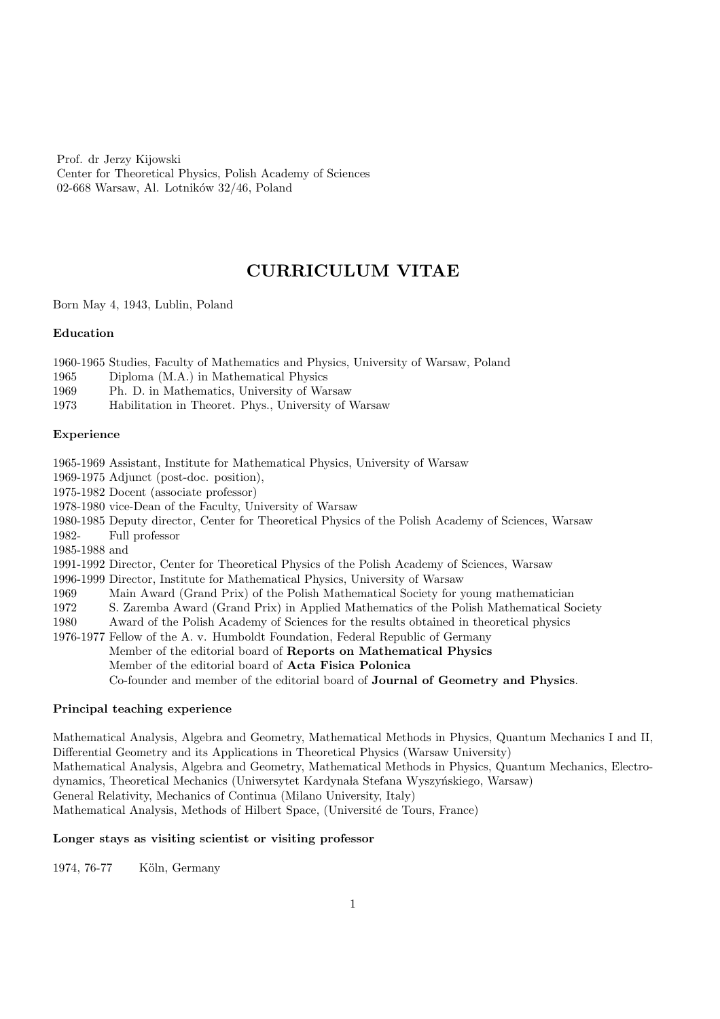Prof. dr Jerzy Kijowski Center for Theoretical Physics, Polish Academy of Sciences 02-668 Warsaw, Al. Lotników  $32/46$ , Poland

# CURRICULUM VITAE

Born May 4, 1943, Lublin, Poland

#### Education

1960-1965 Studies, Faculty of Mathematics and Physics, University of Warsaw, Poland

- 1965 Diploma (M.A.) in Mathematical Physics
- 1969 Ph. D. in Mathematics, University of Warsaw
- 1973 Habilitation in Theoret. Phys., University of Warsaw

### Experience

1965-1969 Assistant, Institute for Mathematical Physics, University of Warsaw

1969-1975 Adjunct (post-doc. position),

1975-1982 Docent (associate professor)

- 1978-1980 vice-Dean of the Faculty, University of Warsaw
- 1980-1985 Deputy director, Center for Theoretical Physics of the Polish Academy of Sciences, Warsaw

1982- Full professor

1985-1988 and

1991-1992 Director, Center for Theoretical Physics of the Polish Academy of Sciences, Warsaw

- 1996-1999 Director, Institute for Mathematical Physics, University of Warsaw
- 1969 Main Award (Grand Prix) of the Polish Mathematical Society for young mathematician
- 1972 S. Zaremba Award (Grand Prix) in Applied Mathematics of the Polish Mathematical Society

1980 Award of the Polish Academy of Sciences for the results obtained in theoretical physics

1976-1977 Fellow of the A. v. Humboldt Foundation, Federal Republic of Germany Member of the editorial board of Reports on Mathematical Physics Member of the editorial board of Acta Fisica Polonica Co-founder and member of the editorial board of Journal of Geometry and Physics.

## Principal teaching experience

Mathematical Analysis, Algebra and Geometry, Mathematical Methods in Physics, Quantum Mechanics I and II, Differential Geometry and its Applications in Theoretical Physics (Warsaw University) Mathematical Analysis, Algebra and Geometry, Mathematical Methods in Physics, Quantum Mechanics, Electrodynamics, Theoretical Mechanics (Uniwersytet Kardynała Stefana Wyszyńskiego, Warsaw) General Relativity, Mechanics of Continua (Milano University, Italy) Mathematical Analysis, Methods of Hilbert Space, (Universit´e de Tours, France)

## Longer stays as visiting scientist or visiting professor

1974, 76-77 Köln, Germany